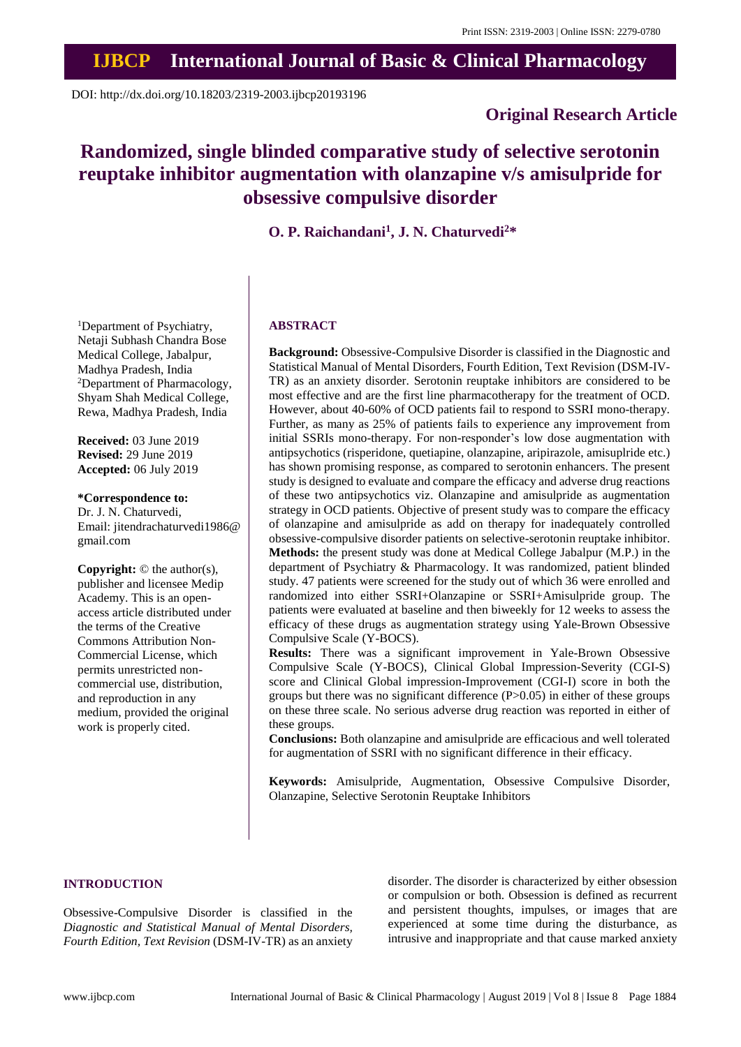# **IJBCP International Journal of Basic & Clinical Pharmacology**

DOI: http://dx.doi.org/10.18203/2319-2003.ijbcp20193196

# **Original Research Article**

# **Randomized, single blinded comparative study of selective serotonin reuptake inhibitor augmentation with olanzapine v/s amisulpride for obsessive compulsive disorder**

**O. P. Raichandani<sup>1</sup> , J. N. Chaturvedi<sup>2</sup>\***

<sup>1</sup>Department of Psychiatry, Netaji Subhash Chandra Bose Medical College, Jabalpur, Madhya Pradesh, India <sup>2</sup>Department of Pharmacology, Shyam Shah Medical College, Rewa, Madhya Pradesh, India

**Received:** 03 June 2019 **Revised:** 29 June 2019 **Accepted:** 06 July 2019

**\*Correspondence to:** Dr. J. N. Chaturvedi, Email: jitendrachaturvedi1986@ gmail.com

**Copyright:** © the author(s), publisher and licensee Medip Academy. This is an openaccess article distributed under the terms of the Creative Commons Attribution Non-Commercial License, which permits unrestricted noncommercial use, distribution, and reproduction in any medium, provided the original work is properly cited.

# **ABSTRACT**

**Background:** Obsessive-Compulsive Disorder is classified in the Diagnostic and Statistical Manual of Mental Disorders, Fourth Edition, Text Revision (DSM-IV-TR) as an anxiety disorder. Serotonin reuptake inhibitors are considered to be most effective and are the first line pharmacotherapy for the treatment of OCD. However, about 40-60% of OCD patients fail to respond to SSRI mono-therapy. Further, as many as 25% of patients fails to experience any improvement from initial SSRIs mono-therapy. For non-responder's low dose augmentation with antipsychotics (risperidone, quetiapine, olanzapine, aripirazole, amisuplride etc.) has shown promising response, as compared to serotonin enhancers. The present study is designed to evaluate and compare the efficacy and adverse drug reactions of these two antipsychotics viz. Olanzapine and amisulpride as augmentation strategy in OCD patients. Objective of present study was to compare the efficacy of olanzapine and amisulpride as add on therapy for inadequately controlled obsessive-compulsive disorder patients on selective-serotonin reuptake inhibitor. **Methods:** the present study was done at Medical College Jabalpur (M.P.) in the department of Psychiatry & Pharmacology. It was randomized, patient blinded study. 47 patients were screened for the study out of which 36 were enrolled and randomized into either SSRI+Olanzapine or SSRI+Amisulpride group. The patients were evaluated at baseline and then biweekly for 12 weeks to assess the efficacy of these drugs as augmentation strategy using Yale-Brown Obsessive Compulsive Scale (Y-BOCS).

**Results:** There was a significant improvement in Yale-Brown Obsessive Compulsive Scale (Y-BOCS), Clinical Global Impression-Severity (CGI-S) score and Clinical Global impression-Improvement (CGI-I) score in both the groups but there was no significant difference (P>0.05) in either of these groups on these three scale. No serious adverse drug reaction was reported in either of these groups.

**Conclusions:** Both olanzapine and amisulpride are efficacious and well tolerated for augmentation of SSRI with no significant difference in their efficacy.

**Keywords:** Amisulpride, Augmentation, Obsessive Compulsive Disorder, Olanzapine, Selective Serotonin Reuptake Inhibitors

## **INTRODUCTION**

Obsessive-Compulsive Disorder is classified in the *Diagnostic and Statistical Manual of Mental Disorders, Fourth Edition, Text Revision* (DSM-IV-TR) as an anxiety

disorder. The disorder is characterized by either obsession or compulsion or both. Obsession is defined as recurrent and persistent thoughts, impulses, or images that are experienced at some time during the disturbance, as intrusive and inappropriate and that cause marked anxiety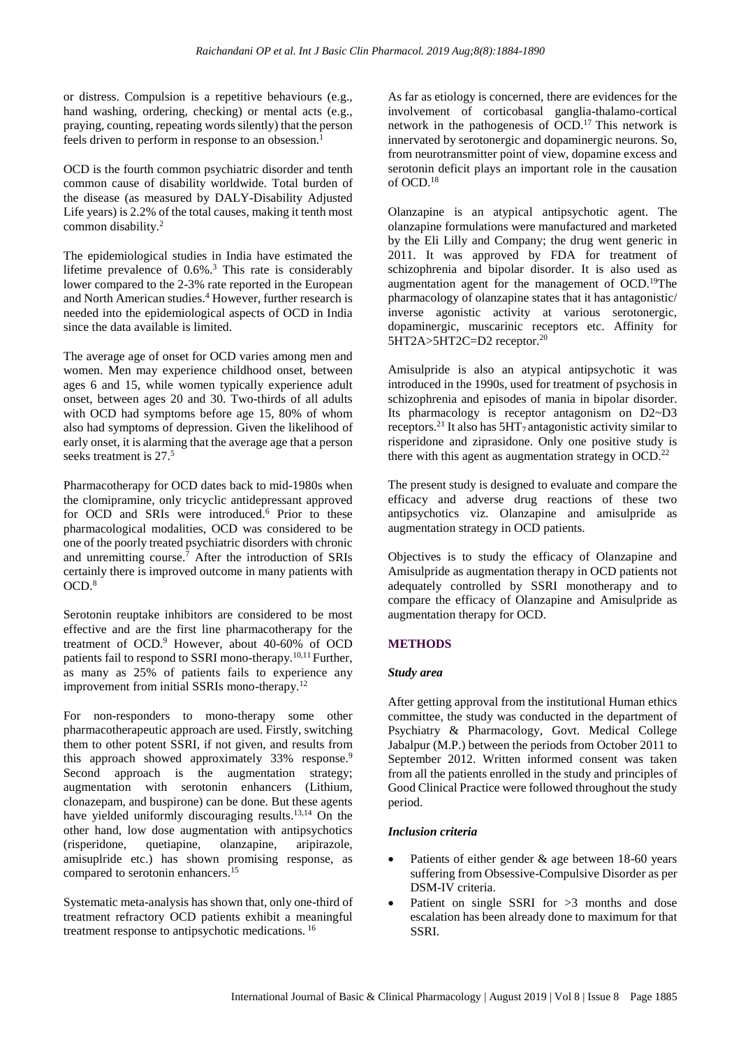or distress. Compulsion is a repetitive behaviours (e.g., hand washing, ordering, checking) or mental acts (e.g., praying, counting, repeating words silently) that the person feels driven to perform in response to an obsession.<sup>1</sup>

OCD is the fourth common psychiatric disorder and tenth common cause of disability worldwide. Total burden of the disease (as measured by DALY-Disability Adjusted Life years) is 2.2% of the total causes, making it tenth most common disability.<sup>2</sup>

The epidemiological studies in India have estimated the lifetime prevalence of 0.6%.<sup>3</sup> This rate is considerably lower compared to the 2-3% rate reported in the European and North American studies.<sup>4</sup> However, further research is needed into the epidemiological aspects of OCD in India since the data available is limited.

The average age of onset for OCD varies among men and women. Men may experience childhood onset, between ages 6 and 15, while women typically experience adult onset, between ages 20 and 30. Two-thirds of all adults with OCD had symptoms before age 15, 80% of whom also had symptoms of depression. Given the likelihood of early onset, it is alarming that the average age that a person seeks treatment is 27.<sup>5</sup>

Pharmacotherapy for OCD dates back to mid-1980s when the clomipramine, only tricyclic antidepressant approved for OCD and SRIs were introduced.<sup>6</sup> Prior to these pharmacological modalities, OCD was considered to be one of the poorly treated psychiatric disorders with chronic and unremitting course.<sup>7</sup> After the introduction of SRIs certainly there is improved outcome in many patients with  $OCD.<sup>8</sup>$ 

Serotonin reuptake inhibitors are considered to be most effective and are the first line pharmacotherapy for the treatment of OCD.<sup>9</sup> However, about 40-60% of OCD patients fail to respond to SSRI mono-therapy.10,11 Further, as many as 25% of patients fails to experience any improvement from initial SSRIs mono-therapy.<sup>12</sup>

For non-responders to mono-therapy some other pharmacotherapeutic approach are used. Firstly, switching them to other potent SSRI, if not given, and results from this approach showed approximately 33% response.<sup>9</sup> Second approach is the augmentation strategy; augmentation with serotonin enhancers (Lithium, clonazepam, and buspirone) can be done. But these agents have yielded uniformly discouraging results.<sup>13,14</sup> On the other hand, low dose augmentation with antipsychotics (risperidone, quetiapine, olanzapine, aripirazole, amisuplride etc.) has shown promising response, as compared to serotonin enhancers.<sup>15</sup>

Systematic meta-analysis has shown that, only one-third of treatment refractory OCD patients exhibit a meaningful treatment response to antipsychotic medications. <sup>16</sup>

As far as etiology is concerned, there are evidences for the involvement of corticobasal ganglia-thalamo-cortical network in the pathogenesis of  $\widetilde{OCD}$ .<sup>17</sup> This network is innervated by serotonergic and dopaminergic neurons. So, from neurotransmitter point of view, dopamine excess and serotonin deficit plays an important role in the causation of OCD.<sup>18</sup>

Olanzapine is an atypical antipsychotic agent. The olanzapine formulations were manufactured and marketed by the Eli Lilly and Company; the drug went generic in 2011. It was approved by FDA for treatment of schizophrenia and bipolar disorder. It is also used as augmentation agent for the management of OCD.<sup>19</sup>The pharmacology of olanzapine states that it has antagonistic/ inverse agonistic activity at various serotonergic, dopaminergic, muscarinic receptors etc. Affinity for 5HT2A>5HT2C=D2 receptor.<sup>20</sup>

Amisulpride is also an atypical antipsychotic it was introduced in the 1990s, used for treatment of psychosis in schizophrenia and episodes of mania in bipolar disorder. Its pharmacology is receptor antagonism on D2~D3 receptors.<sup>21</sup> It also has 5HT<sub>7</sub> antagonistic activity similar to risperidone and ziprasidone. Only one positive study is there with this agent as augmentation strategy in OCD.<sup>22</sup>

The present study is designed to evaluate and compare the efficacy and adverse drug reactions of these two antipsychotics viz. Olanzapine and amisulpride as augmentation strategy in OCD patients.

Objectives is to study the efficacy of Olanzapine and Amisulpride as augmentation therapy in OCD patients not adequately controlled by SSRI monotherapy and to compare the efficacy of Olanzapine and Amisulpride as augmentation therapy for OCD.

# **METHODS**

## *Study area*

After getting approval from the institutional Human ethics committee, the study was conducted in the department of Psychiatry & Pharmacology, Govt. Medical College Jabalpur (M.P.) between the periods from October 2011 to September 2012. Written informed consent was taken from all the patients enrolled in the study and principles of Good Clinical Practice were followed throughout the study period.

## *Inclusion criteria*

- Patients of either gender & age between 18-60 years suffering from Obsessive-Compulsive Disorder as per DSM-IV criteria.
- Patient on single SSRI for >3 months and dose escalation has been already done to maximum for that SSRI.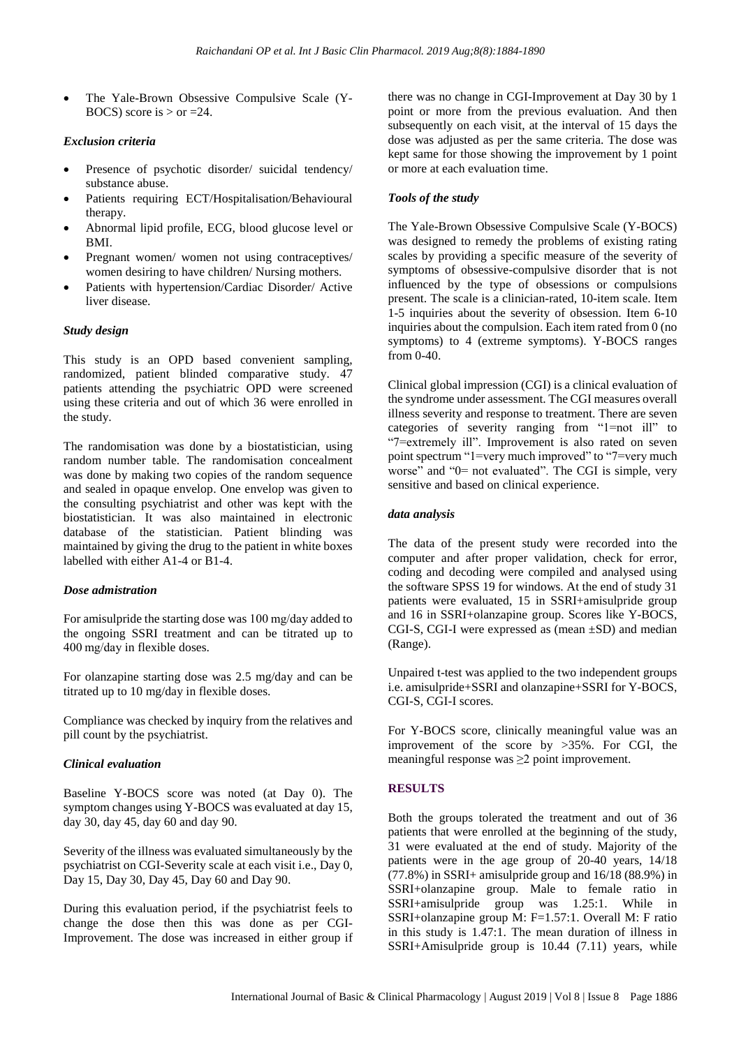• The Yale-Brown Obsessive Compulsive Scale (Y-BOCS) score is  $>$  or  $=24$ .

#### *Exclusion criteria*

- Presence of psychotic disorder/ suicidal tendency/ substance abuse.
- Patients requiring ECT/Hospitalisation/Behavioural therapy.
- Abnormal lipid profile, ECG, blood glucose level or BMI.
- Pregnant women/ women not using contraceptives/ women desiring to have children/ Nursing mothers.
- Patients with hypertension/Cardiac Disorder/ Active liver disease.

#### *Study design*

This study is an OPD based convenient sampling, randomized, patient blinded comparative study. 47 patients attending the psychiatric OPD were screened using these criteria and out of which 36 were enrolled in the study.

The randomisation was done by a biostatistician, using random number table. The randomisation concealment was done by making two copies of the random sequence and sealed in opaque envelop. One envelop was given to the consulting psychiatrist and other was kept with the biostatistician. It was also maintained in electronic database of the statistician. Patient blinding was maintained by giving the drug to the patient in white boxes labelled with either A1-4 or B1-4.

#### *Dose admistration*

For amisulpride the starting dose was 100 mg/day added to the ongoing SSRI treatment and can be titrated up to 400 mg/day in flexible doses.

For olanzapine starting dose was 2.5 mg/day and can be titrated up to 10 mg/day in flexible doses.

Compliance was checked by inquiry from the relatives and pill count by the psychiatrist.

## *Clinical evaluation*

Baseline Y-BOCS score was noted (at Day 0). The symptom changes using Y-BOCS was evaluated at day 15, day 30, day 45, day 60 and day 90.

Severity of the illness was evaluated simultaneously by the psychiatrist on CGI-Severity scale at each visit i.e., Day 0, Day 15, Day 30, Day 45, Day 60 and Day 90.

During this evaluation period, if the psychiatrist feels to change the dose then this was done as per CGI-Improvement. The dose was increased in either group if there was no change in CGI-Improvement at Day 30 by 1 point or more from the previous evaluation. And then subsequently on each visit, at the interval of 15 days the dose was adjusted as per the same criteria. The dose was kept same for those showing the improvement by 1 point or more at each evaluation time.

# *Tools of the study*

The Yale-Brown Obsessive Compulsive Scale (Y-BOCS) was designed to remedy the problems of existing rating scales by providing a specific measure of the severity of symptoms of obsessive-compulsive disorder that is not influenced by the type of obsessions or compulsions present. The scale is a clinician-rated, 10-item scale. Item 1-5 inquiries about the severity of obsession. Item 6-10 inquiries about the compulsion. Each item rated from 0 (no symptoms) to 4 (extreme symptoms). Y-BOCS ranges from 0-40.

Clinical global impression (CGI) is a clinical evaluation of the syndrome under assessment. The CGI measures overall illness severity and response to treatment. There are seven categories of severity ranging from "1=not ill" to "7=extremely ill". Improvement is also rated on seven point spectrum "1=very much improved" to "7=very much worse" and "0= not evaluated". The CGI is simple, very sensitive and based on clinical experience.

## *data analysis*

The data of the present study were recorded into the computer and after proper validation, check for error, coding and decoding were compiled and analysed using the software SPSS 19 for windows. At the end of study 31 patients were evaluated, 15 in SSRI+amisulpride group and 16 in SSRI+olanzapine group. Scores like Y-BOCS, CGI-S, CGI-I were expressed as (mean ±SD) and median (Range).

Unpaired t-test was applied to the two independent groups i.e. amisulpride+SSRI and olanzapine+SSRI for Y-BOCS, CGI-S, CGI-I scores.

For Y-BOCS score, clinically meaningful value was an improvement of the score by >35%. For CGI, the meaningful response was ≥2 point improvement.

## **RESULTS**

Both the groups tolerated the treatment and out of 36 patients that were enrolled at the beginning of the study, 31 were evaluated at the end of study. Majority of the patients were in the age group of 20-40 years, 14/18 (77.8%) in SSRI+ amisulpride group and 16/18 (88.9%) in SSRI+olanzapine group. Male to female ratio in SSRI+amisulpride group was 1.25:1. While in SSRI+olanzapine group M: F=1.57:1. Overall M: F ratio in this study is 1.47:1. The mean duration of illness in SSRI+Amisulpride group is 10.44 (7.11) years, while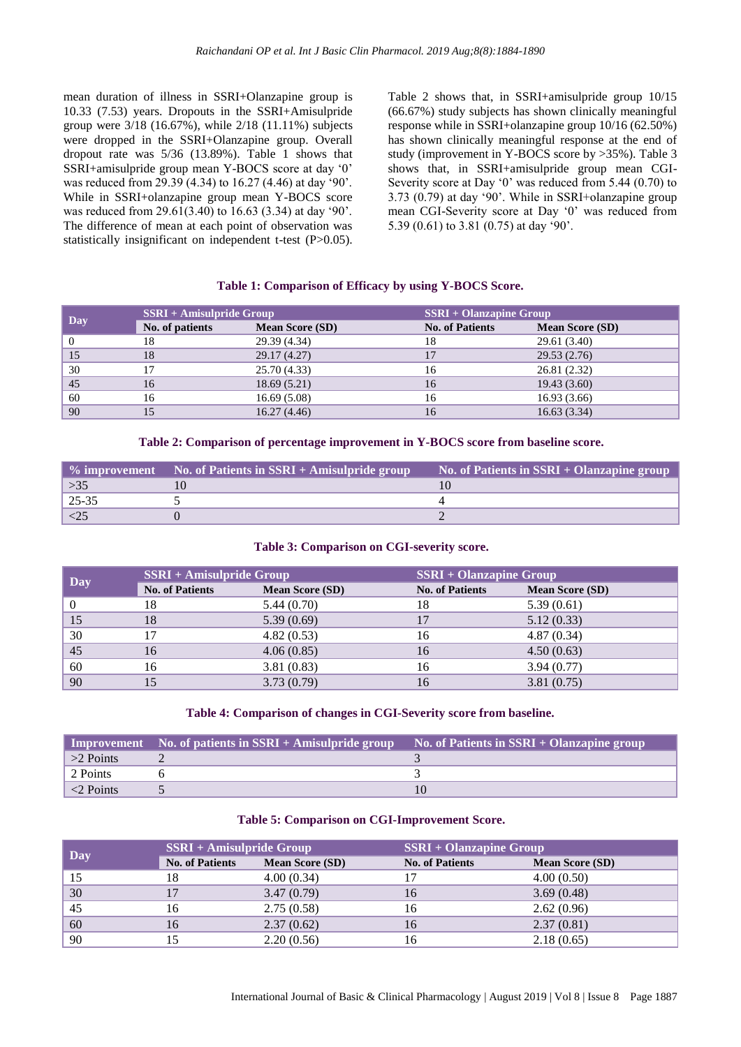mean duration of illness in SSRI+Olanzapine group is 10.33 (7.53) years. Dropouts in the SSRI+Amisulpride group were 3/18 (16.67%), while 2/18 (11.11%) subjects were dropped in the SSRI+Olanzapine group. Overall dropout rate was 5/36 (13.89%). Table 1 shows that SSRI+amisulpride group mean Y-BOCS score at day '0' was reduced from 29.39 (4.34) to 16.27 (4.46) at day '90'. While in SSRI+olanzapine group mean Y-BOCS score was reduced from 29.61(3.40) to 16.63 (3.34) at day '90'. The difference of mean at each point of observation was statistically insignificant on independent t-test (P>0.05).

Table 2 shows that, in SSRI+amisulpride group 10/15 (66.67%) study subjects has shown clinically meaningful response while in SSRI+olanzapine group 10/16 (62.50%) has shown clinically meaningful response at the end of study (improvement in Y-BOCS score by >35%). Table 3 shows that, in SSRI+amisulpride group mean CGI-Severity score at Day '0' was reduced from 5.44 (0.70) to 3.73 (0.79) at day '90'. While in SSRI+olanzapine group mean CGI-Severity score at Day '0' was reduced from 5.39 (0.61) to 3.81 (0.75) at day '90'.

#### **Table 1: Comparison of Efficacy by using Y-BOCS Score.**

| Day | $SSRI + Amisulpride Group$ |                        | <b>SSRI + Olanzapine Group</b> |                        |
|-----|----------------------------|------------------------|--------------------------------|------------------------|
|     | No. of patients            | <b>Mean Score (SD)</b> | <b>No. of Patients</b>         | <b>Mean Score (SD)</b> |
|     | 18                         | 29.39 (4.34)           |                                | 29.61 (3.40)           |
| 15  | 18                         | 29.17 (4.27)           |                                | 29.53(2.76)            |
| 30  |                            | 25.70 (4.33)           | 16                             | 26.81 (2.32)           |
| 45  | 16                         | 18.69(5.21)            | 16                             | 19.43(3.60)            |
| 60  | 16                         | 16.69(5.08)            | 16                             | 16.93(3.66)            |
| 90  |                            | 16.27(4.46)            | 16                             | 16.63(3.34)            |

**Table 2: Comparison of percentage improvement in Y-BOCS score from baseline score.**

|              | $\%$ improvement No. of Patients in SSRI + Amisulpride group | No. of Patients in SSRI + Olanzapine group |
|--------------|--------------------------------------------------------------|--------------------------------------------|
| >35          |                                                              |                                            |
| $25 - 35$    |                                                              |                                            |
| $\langle 25$ |                                                              |                                            |

#### **Table 3: Comparison on CGI-severity score.**

| Day | <b>SSRI + Amisulpride Group</b> |                        | <b>SSRI + Olanzapine Group</b> |                        |
|-----|---------------------------------|------------------------|--------------------------------|------------------------|
|     | <b>No. of Patients</b>          | <b>Mean Score (SD)</b> | <b>No. of Patients</b>         | <b>Mean Score (SD)</b> |
|     | 18                              | 5.44(0.70)             | 18                             | 5.39(0.61)             |
| 15  | 18                              | 5.39(0.69)             |                                | 5.12(0.33)             |
| 30  | 17                              | 4.82(0.53)             | 16                             | 4.87(0.34)             |
| 45  | 16                              | 4.06(0.85)             | 16                             | 4.50(0.63)             |
| 60  | 16                              | 3.81(0.83)             | 16                             | 3.94(0.77)             |
| 90  |                                 | 3.73(0.79)             |                                | 3.81(0.75)             |

#### **Table 4: Comparison of changes in CGI-Severity score from baseline.**

|                   | $\blacksquare$ Improvement No. of patients in SSRI + Amisulpride group | No. of Patients in $SSR\overline{I} + Olanzapine group$ |
|-------------------|------------------------------------------------------------------------|---------------------------------------------------------|
| $\geq$ Points     |                                                                        |                                                         |
| 2 Points          |                                                                        |                                                         |
| $\vert$ <2 Points |                                                                        |                                                         |

#### **Table 5: Comparison on CGI-Improvement Score.**

| Day | <b>SSRI + Amisulpride Group</b> |                        | <b>SSRI + Olanzapine Group</b> |                        |
|-----|---------------------------------|------------------------|--------------------------------|------------------------|
|     | <b>No. of Patients</b>          | <b>Mean Score (SD)</b> | <b>No. of Patients</b>         | <b>Mean Score (SD)</b> |
| 15  |                                 | 4.00(0.34)             |                                | 4.00(0.50)             |
| 30  |                                 | 3.47(0.79)             | 16                             | 3.69(0.48)             |
| 45  |                                 | 2.75(0.58)             | 16                             | 2.62(0.96)             |
| 60  |                                 | 2.37(0.62)             | 16                             | 2.37(0.81)             |
| 90  |                                 | 2.20(0.56)             | 16                             | 2.18(0.65)             |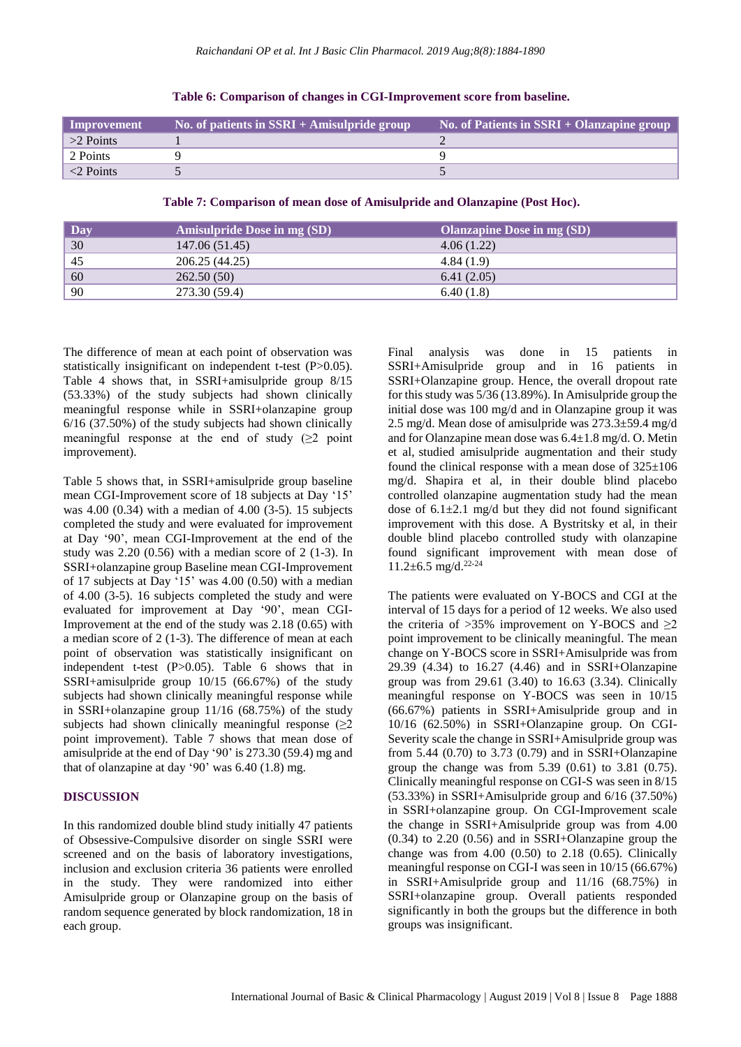| Improvement     | No. of patients in $SSR\bar{I} + A$ misulpride group | No. of Patients in $SSRI + Olanzapine group$ |
|-----------------|------------------------------------------------------|----------------------------------------------|
| $>2$ Points     |                                                      |                                              |
| 2 Points        |                                                      |                                              |
| $\leq$ 2 Points |                                                      |                                              |

**Table 6: Comparison of changes in CGI-Improvement score from baseline.**

**Table 7: Comparison of mean dose of Amisulpride and Olanzapine (Post Hoc).**

| Day | <b>Amisulpride Dose in mg (SD)</b> | Olanzapine Dose in mg (SD) |
|-----|------------------------------------|----------------------------|
| 30  | 147.06 (51.45)                     | 4.06(1.22)                 |
| 45  | 206.25 (44.25)                     | 4.84(1.9)                  |
| 60  | 262.50(50)                         | 6.41(2.05)                 |
| 90  | 273.30 (59.4)                      | 6.40(1.8)                  |

The difference of mean at each point of observation was statistically insignificant on independent t-test (P>0.05). Table 4 shows that, in SSRI+amisulpride group 8/15 (53.33%) of the study subjects had shown clinically meaningful response while in SSRI+olanzapine group 6/16 (37.50%) of the study subjects had shown clinically meaningful response at the end of study  $(\geq 2)$  point improvement).

Table 5 shows that, in SSRI+amisulpride group baseline mean CGI-Improvement score of 18 subjects at Day '15' was 4.00 (0.34) with a median of 4.00 (3-5). 15 subjects completed the study and were evaluated for improvement at Day '90', mean CGI-Improvement at the end of the study was  $2.20$   $(0.56)$  with a median score of  $2$   $(1-3)$ . In SSRI+olanzapine group Baseline mean CGI-Improvement of 17 subjects at Day '15' was 4.00 (0.50) with a median of 4.00 (3-5). 16 subjects completed the study and were evaluated for improvement at Day '90', mean CGI-Improvement at the end of the study was 2.18 (0.65) with a median score of 2 (1-3). The difference of mean at each point of observation was statistically insignificant on independent t-test (P>0.05). Table 6 shows that in SSRI+amisulpride group 10/15 (66.67%) of the study subjects had shown clinically meaningful response while in SSRI+olanzapine group 11/16 (68.75%) of the study subjects had shown clinically meaningful response  $(\geq 2)$ point improvement). Table 7 shows that mean dose of amisulpride at the end of Day '90' is 273.30 (59.4) mg and that of olanzapine at day '90' was 6.40 (1.8) mg.

## **DISCUSSION**

In this randomized double blind study initially 47 patients of Obsessive-Compulsive disorder on single SSRI were screened and on the basis of laboratory investigations, inclusion and exclusion criteria 36 patients were enrolled in the study. They were randomized into either Amisulpride group or Olanzapine group on the basis of random sequence generated by block randomization, 18 in each group.

Final analysis was done in 15 patients in SSRI+Amisulpride group and in 16 patients in SSRI+Olanzapine group. Hence, the overall dropout rate for thisstudy was 5/36 (13.89%). In Amisulpride group the initial dose was 100 mg/d and in Olanzapine group it was 2.5 mg/d. Mean dose of amisulpride was 273.3±59.4 mg/d and for Olanzapine mean dose was 6.4±1.8 mg/d. O. Metin et al, studied amisulpride augmentation and their study found the clinical response with a mean dose of  $325\pm106$ mg/d. Shapira et al, in their double blind placebo controlled olanzapine augmentation study had the mean dose of  $6.1\pm2.1$  mg/d but they did not found significant improvement with this dose. A Bystritsky et al, in their double blind placebo controlled study with olanzapine found significant improvement with mean dose of  $11.2\pm 6.5$  mg/d.<sup>22-24</sup>

The patients were evaluated on Y-BOCS and CGI at the interval of 15 days for a period of 12 weeks. We also used the criteria of  $>35\%$  improvement on Y-BOCS and  $\geq 2$ point improvement to be clinically meaningful. The mean change on Y-BOCS score in SSRI+Amisulpride was from 29.39 (4.34) to 16.27 (4.46) and in SSRI+Olanzapine group was from 29.61 (3.40) to 16.63 (3.34). Clinically meaningful response on Y-BOCS was seen in 10/15 (66.67%) patients in SSRI+Amisulpride group and in 10/16 (62.50%) in SSRI+Olanzapine group. On CGI-Severity scale the change in SSRI+Amisulpride group was from 5.44 (0.70) to 3.73 (0.79) and in SSRI+Olanzapine group the change was from 5.39 (0.61) to 3.81 (0.75). Clinically meaningful response on CGI-S was seen in 8/15 (53.33%) in SSRI+Amisulpride group and 6/16 (37.50%) in SSRI+olanzapine group. On CGI-Improvement scale the change in SSRI+Amisulpride group was from 4.00 (0.34) to 2.20 (0.56) and in SSRI+Olanzapine group the change was from  $4.00$   $(0.50)$  to  $2.18$   $(0.65)$ . Clinically meaningful response on CGI-I was seen in 10/15 (66.67%) in SSRI+Amisulpride group and 11/16 (68.75%) in SSRI+olanzapine group. Overall patients responded significantly in both the groups but the difference in both groups was insignificant.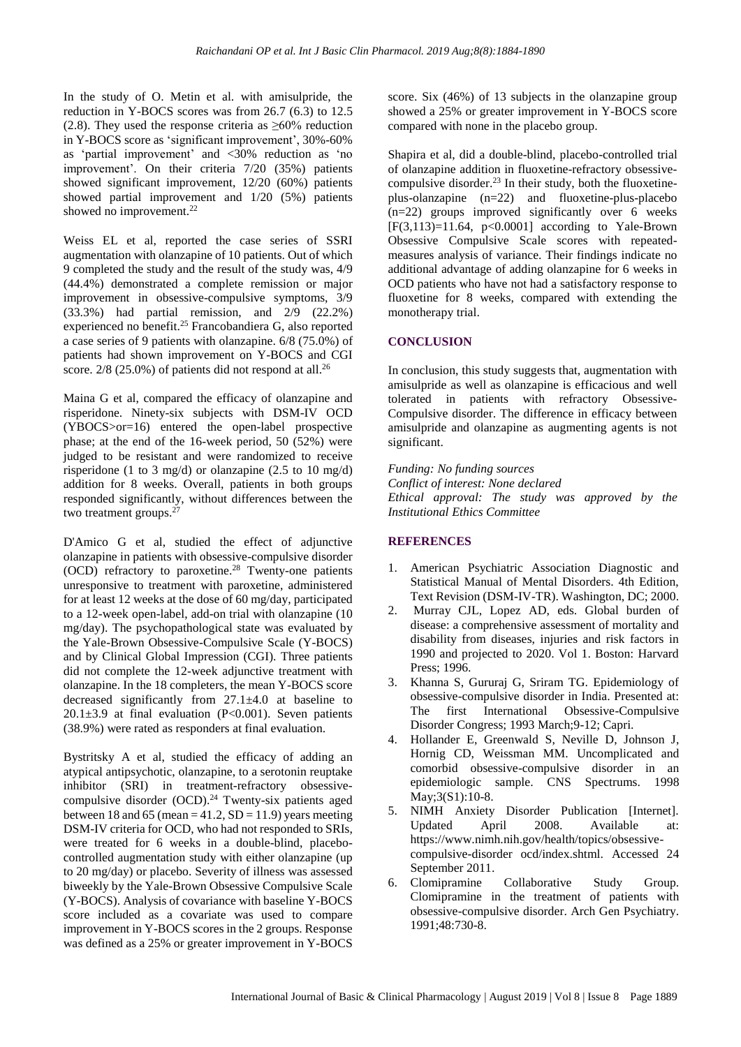In the study of O. Metin et al. with amisulpride, the reduction in Y-BOCS scores was from 26.7 (6.3) to 12.5 (2.8). They used the response criteria as  $\geq 60\%$  reduction in Y-BOCS score as 'significant improvement', 30%-60% as 'partial improvement' and <30% reduction as 'no improvement'. On their criteria 7/20 (35%) patients showed significant improvement, 12/20 (60%) patients showed partial improvement and 1/20 (5%) patients showed no improvement.<sup>22</sup>

Weiss EL et al, reported the case series of SSRI augmentation with olanzapine of 10 patients. Out of which 9 completed the study and the result of the study was, 4/9 (44.4%) demonstrated a complete remission or major improvement in obsessive-compulsive symptoms, 3/9 (33.3%) had partial remission, and 2/9 (22.2%) experienced no benefit.<sup>25</sup> Francobandiera G, also reported a case series of 9 patients with olanzapine. 6/8 (75.0%) of patients had shown improvement on Y-BOCS and CGI score.  $2/8$  (25.0%) of patients did not respond at all.<sup>26</sup>

Maina G et al, compared the efficacy of olanzapine and risperidone. Ninety-six subjects with DSM-IV OCD (YBOCS>or=16) entered the open-label prospective phase; at the end of the 16-week period, 50 (52%) were judged to be resistant and were randomized to receive risperidone (1 to 3 mg/d) or olanzapine (2.5 to 10 mg/d) addition for 8 weeks. Overall, patients in both groups responded significantly, without differences between the two treatment groups.<sup>27</sup>

D'Amico G et al, studied the effect of adjunctive olanzapine in patients with obsessive-compulsive disorder (OCD) refractory to paroxetine.<sup>28</sup> Twenty-one patients unresponsive to treatment with paroxetine, administered for at least 12 weeks at the dose of 60 mg/day, participated to a 12-week open-label, add-on trial with olanzapine (10 mg/day). The psychopathological state was evaluated by the Yale-Brown Obsessive-Compulsive Scale (Y-BOCS) and by Clinical Global Impression (CGI). Three patients did not complete the 12-week adjunctive treatment with olanzapine. In the 18 completers, the mean Y-BOCS score decreased significantly from 27.1±4.0 at baseline to 20.1 $\pm$ 3.9 at final evaluation (P<0.001). Seven patients (38.9%) were rated as responders at final evaluation.

Bystritsky A et al, studied the efficacy of adding an atypical antipsychotic, olanzapine, to a serotonin reuptake inhibitor (SRI) in treatment-refractory obsessivecompulsive disorder  $(OCD)$ .<sup>24</sup> Twenty-six patients aged between 18 and 65 (mean =  $41.2$ , SD = 11.9) years meeting DSM-IV criteria for OCD, who had not responded to SRIs, were treated for 6 weeks in a double-blind, placebocontrolled augmentation study with either olanzapine (up to 20 mg/day) or placebo. Severity of illness was assessed biweekly by the Yale-Brown Obsessive Compulsive Scale (Y-BOCS). Analysis of covariance with baseline Y-BOCS score included as a covariate was used to compare improvement in Y-BOCS scores in the 2 groups. Response was defined as a 25% or greater improvement in Y-BOCS score. Six (46%) of 13 subjects in the olanzapine group showed a 25% or greater improvement in Y-BOCS score compared with none in the placebo group.

Shapira et al, did a double-blind, placebo-controlled trial of olanzapine addition in fluoxetine-refractory obsessivecompulsive disorder.<sup>23</sup> In their study, both the fluoxetineplus-olanzapine (n=22) and fluoxetine-plus-placebo (n=22) groups improved significantly over 6 weeks  $[F(3,113)=11.64, p<0.0001]$  according to Yale-Brown Obsessive Compulsive Scale scores with repeatedmeasures analysis of variance. Their findings indicate no additional advantage of adding olanzapine for 6 weeks in OCD patients who have not had a satisfactory response to fluoxetine for 8 weeks, compared with extending the monotherapy trial.

# **CONCLUSION**

In conclusion, this study suggests that, augmentation with amisulpride as well as olanzapine is efficacious and well tolerated in patients with refractory Obsessive-Compulsive disorder. The difference in efficacy between amisulpride and olanzapine as augmenting agents is not significant.

*Funding: No funding sources Conflict of interest: None declared Ethical approval: The study was approved by the Institutional Ethics Committee*

## **REFERENCES**

- 1. American Psychiatric Association Diagnostic and Statistical Manual of Mental Disorders. 4th Edition, Text Revision (DSM-IV-TR). Washington, DC; 2000.
- 2. Murray CJL, Lopez AD, eds. Global burden of disease: a comprehensive assessment of mortality and disability from diseases, injuries and risk factors in 1990 and projected to 2020. Vol 1. Boston: Harvard Press; 1996.
- 3. Khanna S, Gururaj G, Sriram TG. Epidemiology of obsessive-compulsive disorder in India. Presented at: The first International Obsessive-Compulsive Disorder Congress; 1993 March;9-12; Capri.
- 4. Hollander E, Greenwald S, Neville D, Johnson J, Hornig CD, Weissman MM. Uncomplicated and comorbid obsessive-compulsive disorder in an epidemiologic sample. CNS Spectrums. 1998 May;3(S1):10-8.
- 5. NIMH Anxiety Disorder Publication [Internet]. Updated April 2008. Available at: https://www.nimh.nih.gov/health/topics/obsessivecompulsive-disorder ocd/index.shtml. Accessed 24 September 2011.
- 6. Clomipramine Collaborative Study Group. Clomipramine in the treatment of patients with obsessive-compulsive disorder. Arch Gen Psychiatry. 1991;48:730-8.